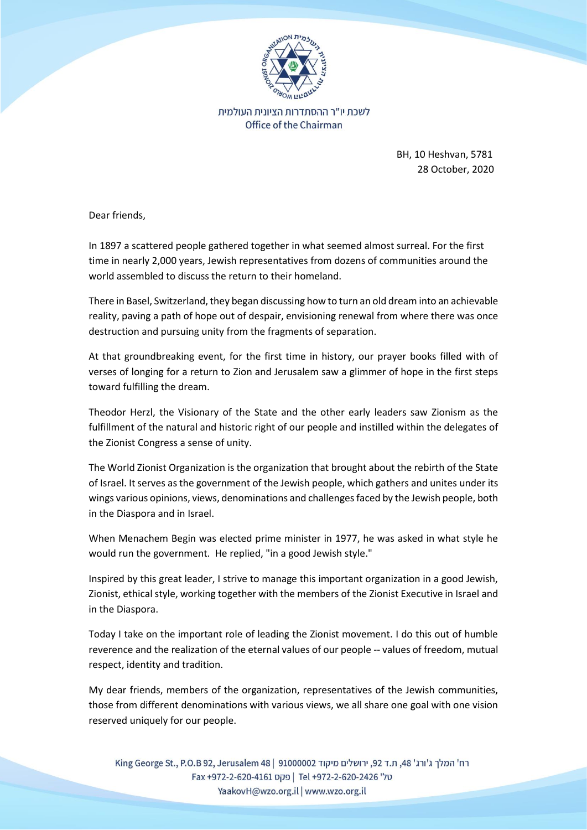

לשכת יו"ר ההסתדרות הציונית העולמית Office of the Chairman

> BH, 10 Heshvan, 5781 28 October, 2020

Dear friends,

In 1897 a scattered people gathered together in what seemed almost surreal. For the first time in nearly 2,000 years, Jewish representatives from dozens of communities around the world assembled to discuss the return to their homeland.

There in Basel, Switzerland, they began discussing how to turn an old dream into an achievable reality, paving a path of hope out of despair, envisioning renewal from where there was once destruction and pursuing unity from the fragments of separation.

At that groundbreaking event, for the first time in history, our prayer books filled with of verses of longing for a return to Zion and Jerusalem saw a glimmer of hope in the first steps toward fulfilling the dream.

Theodor Herzl, the Visionary of the State and the other early leaders saw Zionism as the fulfillment of the natural and historic right of our people and instilled within the delegates of the Zionist Congress a sense of unity.

The World Zionist Organization is the organization that brought about the rebirth of the State of Israel. It serves as the government of the Jewish people, which gathers and unites under its wings various opinions, views, denominations and challenges faced by the Jewish people, both in the Diaspora and in Israel.

When Menachem Begin was elected prime minister in 1977, he was asked in what style he would run the government. He replied, "in a good Jewish style."

Inspired by this great leader, I strive to manage this important organization in a good Jewish, Zionist, ethical style, working together with the members of the Zionist Executive in Israel and in the Diaspora.

Today I take on the important role of leading the Zionist movement. I do this out of humble reverence and the realization of the eternal values of our people -- values of freedom, mutual respect, identity and tradition.

My dear friends, members of the organization, representatives of the Jewish communities, those from different denominations with various views, we all share one goal with one vision reserved uniquely for our people.

רח' המלך ג'ורג' 48. ת.ד 92. ירושלים מיקוד 9100002 | King George St., P.O.B 92, Jerusalem 48 0 GI +972-2-620-2426 | פקס Fel +972-2-620-2426 Fax +972-2-620-4161 YaakovH@wzo.org.il | www.wzo.org.il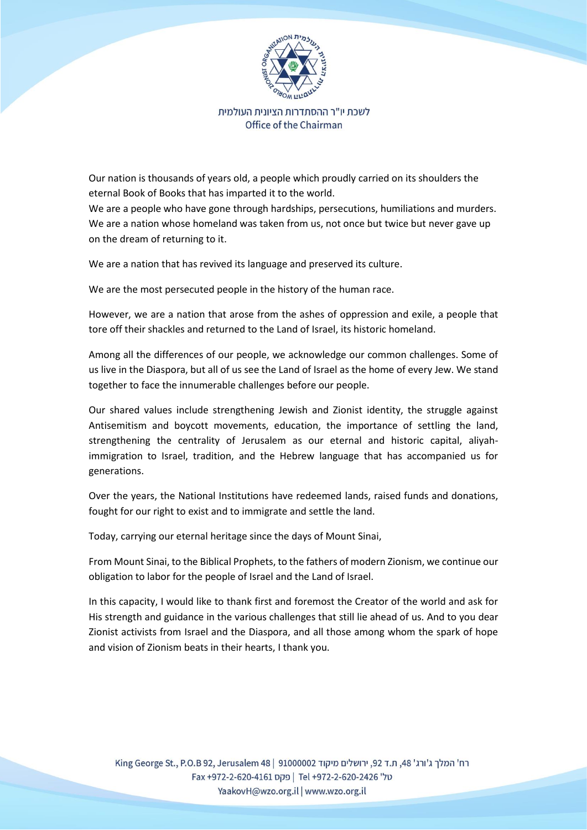

לשכת יו"ר ההסתדרות הציונית העולמית Office of the Chairman

Our nation is thousands of years old, a people which proudly carried on its shoulders the eternal Book of Books that has imparted it to the world.

We are a people who have gone through hardships, persecutions, humiliations and murders. We are a nation whose homeland was taken from us, not once but twice but never gave up on the dream of returning to it.

We are a nation that has revived its language and preserved its culture.

We are the most persecuted people in the history of the human race.

However, we are a nation that arose from the ashes of oppression and exile, a people that tore off their shackles and returned to the Land of Israel, its historic homeland.

Among all the differences of our people, we acknowledge our common challenges. Some of us live in the Diaspora, but all of us see the Land of Israel as the home of every Jew. We stand together to face the innumerable challenges before our people.

Our shared values include strengthening Jewish and Zionist identity, the struggle against Antisemitism and boycott movements, education, the importance of settling the land, strengthening the centrality of Jerusalem as our eternal and historic capital, aliyahimmigration to Israel, tradition, and the Hebrew language that has accompanied us for generations.

Over the years, the National Institutions have redeemed lands, raised funds and donations, fought for our right to exist and to immigrate and settle the land.

Today, carrying our eternal heritage since the days of Mount Sinai,

From Mount Sinai, to the Biblical Prophets, to the fathers of modern Zionism, we continue our obligation to labor for the people of Israel and the Land of Israel.

In this capacity, I would like to thank first and foremost the Creator of the world and ask for His strength and guidance in the various challenges that still lie ahead of us. And to you dear Zionist activists from Israel and the Diaspora, and all those among whom the spark of hope and vision of Zionism beats in their hearts, I thank you.